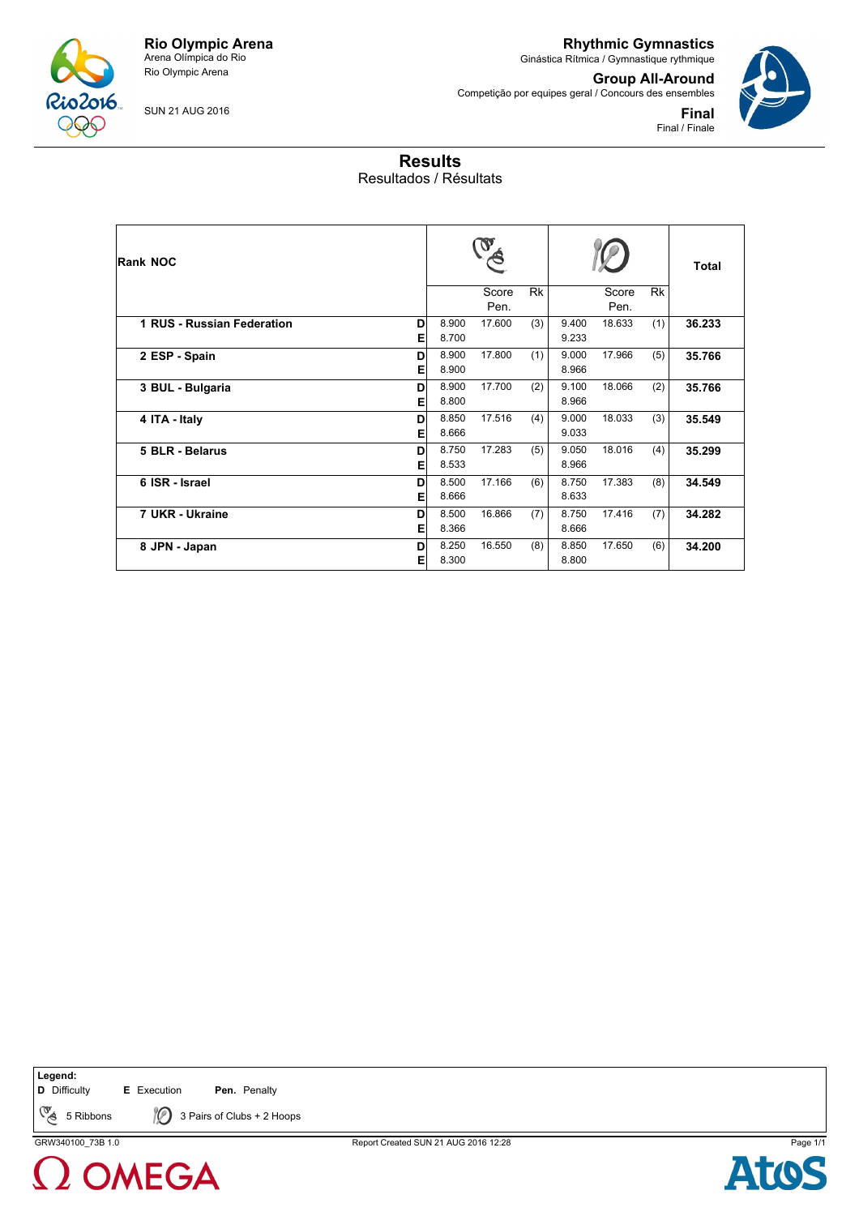

SUN 21 AUG 2016

**Rhythmic Gymnastics** Ginástica Rítmica / Gymnastique rythmique

Competição por equipes geral / Concours des ensembles

**Group All-Around**

**Final** Final / Finale

## **Results** Resultados / Résultats

| <b>Rank NOC</b>            |        |                |               |           |                |               |           | <b>Total</b> |
|----------------------------|--------|----------------|---------------|-----------|----------------|---------------|-----------|--------------|
|                            |        |                | Score<br>Pen. | <b>Rk</b> |                | Score<br>Pen. | <b>Rk</b> |              |
| 1 RUS - Russian Federation | D<br>Е | 8.900<br>8.700 | 17.600        | (3)       | 9.400<br>9.233 | 18.633        | (1)       | 36.233       |
| 2 ESP - Spain              | D<br>Е | 8.900<br>8.900 | 17.800        | (1)       | 9.000<br>8.966 | 17.966        | (5)       | 35.766       |
| 3 BUL - Bulgaria           | D<br>Е | 8.900<br>8.800 | 17.700        | (2)       | 9.100<br>8.966 | 18.066        | (2)       | 35.766       |
| 4 ITA - Italy              | D<br>Е | 8.850<br>8.666 | 17.516        | (4)       | 9.000<br>9.033 | 18.033        | (3)       | 35.549       |
| 5 BLR - Belarus            | D<br>E | 8.750<br>8.533 | 17.283        | (5)       | 9.050<br>8.966 | 18.016        | (4)       | 35.299       |
| 6 ISR - Israel             | D<br>Е | 8.500<br>8.666 | 17.166        | (6)       | 8.750<br>8.633 | 17.383        | (8)       | 34.549       |
| 7 UKR - Ukraine            | D<br>E | 8.500<br>8.366 | 16.866        | (7)       | 8.750<br>8.666 | 17.416        | (7)       | 34.282       |
| 8 JPN - Japan              | D<br>Е | 8.250<br>8.300 | 16.550        | (8)       | 8.850<br>8.800 | 17.650        | (6)       | 34.200       |

**Legend:**

**D** Difficulty **E** Execution **Pen.** Penalty

CE 5 Ribbons  $\bigotimes$  3 Pairs of Clubs + 2 Hoops



GRW340100\_73B 1.0 Report Created SUN 21 AUG 2016 12:28 Page 1/1